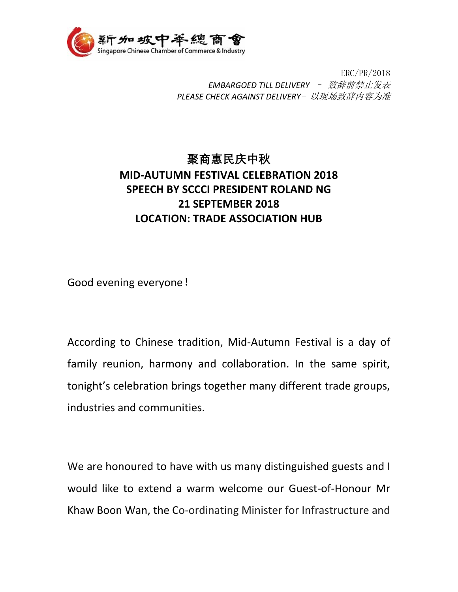

 ERC/PR/2018 *EMBARGOED TILL DELIVERY* – 致辞前禁止发表 *PLEASE CHECK AGAINST DELIVERY*- 以现场致辞内容为准

## **聚商惠民庆中秋 MID-AUTUMN FESTIVAL CELEBRATION 2018 SPEECH BY SCCCI PRESIDENT ROLAND NG 21 SEPTEMBER 2018 LOCATION: TRADE ASSOCIATION HUB**

Good evening everyone!

According to Chinese tradition, Mid-Autumn Festival is a day of family reunion, harmony and collaboration. In the same spirit, tonight's celebration brings together many different trade groups, industries and communities.

We are honoured to have with us many distinguished guests and I would like to extend a warm welcome our Guest-of-Honour Mr Khaw Boon Wan, the Co-ordinating Minister for Infrastructure and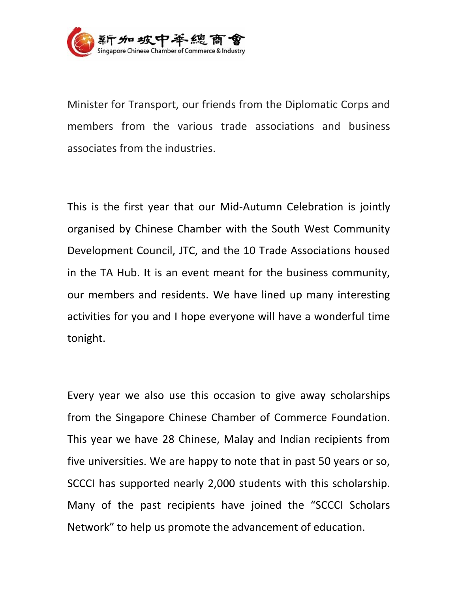

Minister for Transport, our friends from the Diplomatic Corps and members from the various trade associations and business associates from the industries.

This is the first year that our Mid-Autumn Celebration is jointly organised by Chinese Chamber with the South West Community Development Council, JTC, and the 10 Trade Associations housed in the TA Hub. It is an event meant for the business community, our members and residents. We have lined up many interesting activities for you and I hope everyone will have a wonderful time tonight.

Every year we also use this occasion to give away scholarships from the Singapore Chinese Chamber of Commerce Foundation. This year we have 28 Chinese, Malay and Indian recipients from five universities. We are happy to note that in past 50 years or so, SCCCI has supported nearly 2,000 students with this scholarship. Many of the past recipients have joined the "SCCCI Scholars Network" to help us promote the advancement of education.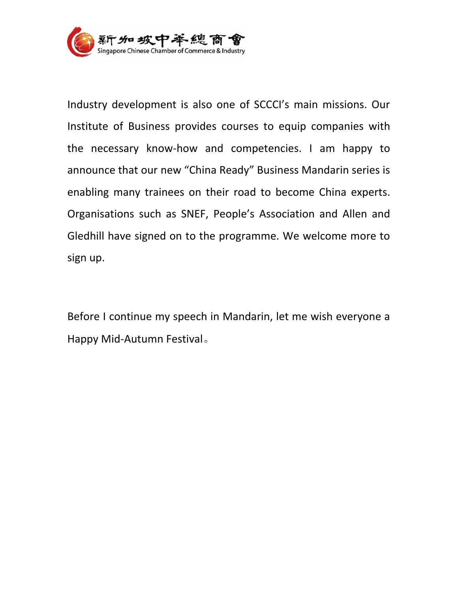

Industry development is also one of SCCCI's main missions. Our Institute of Business provides courses to equip companies with the necessary know-how and competencies. I am happy to announce that our new "China Ready" Business Mandarin series is enabling many trainees on their road to become China experts. Organisations such as SNEF, People's Association and Allen and Gledhill have signed on to the programme. We welcome more to sign up.

Before I continue my speech in Mandarin, let me wish everyone a Happy Mid-Autumn Festival。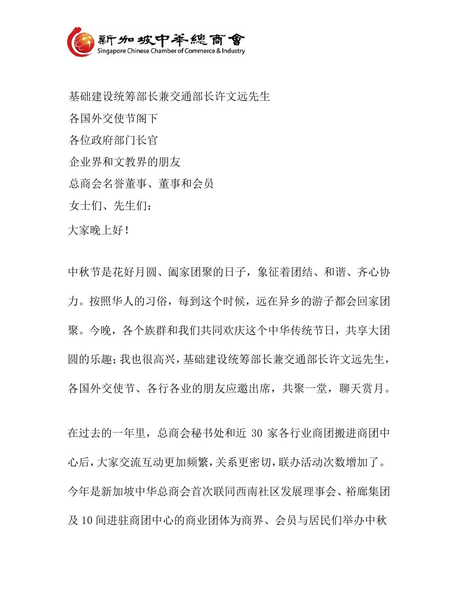

基础建设统筹部长兼交通部长许文远先生 各国外交使节阁下 各位政府部门长官 企业界和文教界的朋友 总商会名誉董事、董事和会员 女士们、先生们:

大家晚上好!

中秋节是花好月圆、阖家团聚的日子,象征着团结、和谐、齐心协 力。按照华人的习俗,每到这个时候,远在异乡的游子都会回家团 聚。今晚,各个族群和我们共同欢庆这个中华传统节日,共享大团 圆的乐趣;我也很高兴,基础建设统筹部长兼交通部长许文远先生, 各国外交使节、各行各业的朋友应邀出席,共聚一堂,聊天赏月。

在过去的一年里,总商会秘书处和近 30 家各行业商团搬进商团中 心后,大家交流互动更加频繁,关系更密切,联办活动次数增加了。 今年是新加坡中华总商会首次联同西南社区发展理事会、裕廊集团 及 10 间进驻商团中心的商业团体为商界、会员与居民们举办中秋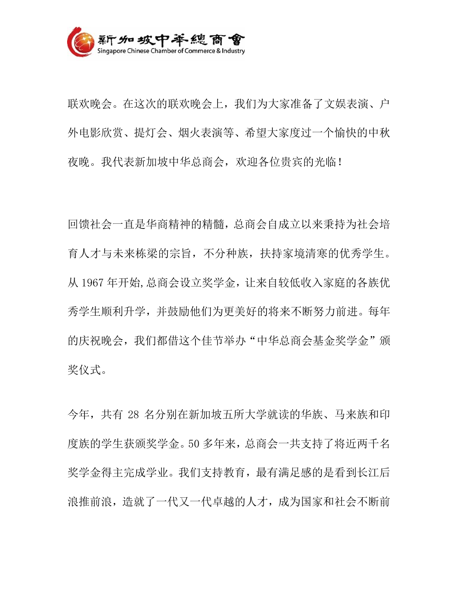

联欢晚会。在这次的联欢晚会上,我们为大家准备了文娱表演、户 外电影欣赏、提灯会、烟火表演等、希望大家度过一个愉快的中秋 夜晚。我代表新加坡中华总商会,欢迎各位贵宾的光临!

回馈社会一直是华商精神的精髓,总商会自成立以来秉持为社会培 育人才与未来栋梁的宗旨,不分种族,扶持家境清寒的优秀学生。 从 1967 年开始,总商会设立奖学金,让来自较低收入家庭的各族优 秀学生顺利升学,并鼓励他们为更美好的将来不断努力前进。每年 的庆祝晚会,我们都借这个佳节举办"中华总商会基金奖学金"颁 奖仪式。

今年,共有 28 名分别在新加坡五所大学就读的华族、马来族和印 度族的学生获颁奖学金。50 多年来,总商会一共支持了将近两千名 奖学金得主完成学业。我们支持教育,最有满足感的是看到长江后 浪推前浪,造就了一代又一代卓越的人才,成为国家和社会不断前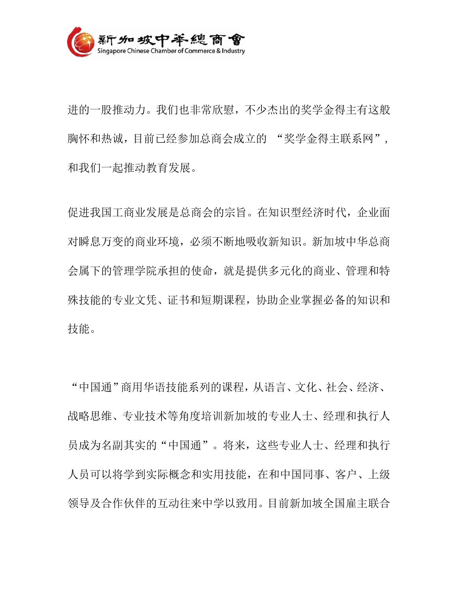

进的一股推动力。我们也非常欣慰,不少杰出的奖学金得主有这般 胸怀和热诚,目前已经参加总商会成立的 "奖学金得主联系网", 和我们一起推动教育发展。

促进我国工商业发展是总商会的宗旨。在知识型经济时代,企业面 对瞬息万变的商业环境,必须不断地吸收新知识。新加坡中华总商 会属下的管理学院承担的使命,就是提供多元化的商业、管理和特 殊技能的专业文凭、证书和短期课程,协助企业掌握必备的知识和 技能。

"中国通"商用华语技能系列的课程,从语言、文化、社会、经济、 战略思维、专业技术等角度培训新加坡的专业人士、经理和执行人 员成为名副其实的"中国通"。将来,这些专业人士、经理和执行 人员可以将学到实际概念和实用技能,在和中国同事、客户、上级 领导及合作伙伴的互动往来中学以致用。目前新加坡全国雇主联合